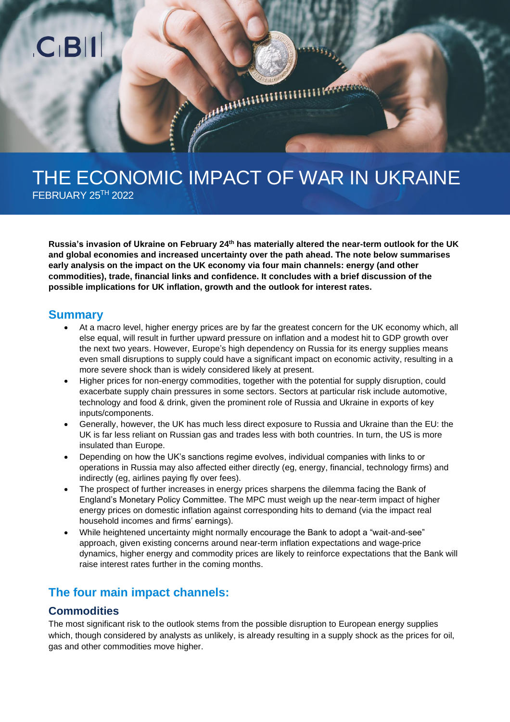

# THE ECONOMIC IMPACT OF WAR IN UKRAINE

FEBRUARY 25TH 2022

**Russia's invasion of Ukraine on February 24 th has materially altered the near-term outlook for the UK and global economies and increased uncertainty over the path ahead. The note below summarises early analysis on the impact on the UK economy via four main channels: energy (and other commodities), trade, financial links and confidence. It concludes with a brief discussion of the possible implications for UK inflation, growth and the outlook for interest rates.** 

#### **Summary**

- At a macro level, higher energy prices are by far the greatest concern for the UK economy which, all else equal, will result in further upward pressure on inflation and a modest hit to GDP growth over the next two years. However, Europe's high dependency on Russia for its energy supplies means even small disruptions to supply could have a significant impact on economic activity, resulting in a more severe shock than is widely considered likely at present.
- Higher prices for non-energy commodities, together with the potential for supply disruption, could exacerbate supply chain pressures in some sectors. Sectors at particular risk include automotive, technology and food & drink, given the prominent role of Russia and Ukraine in exports of key inputs/components.
- Generally, however, the UK has much less direct exposure to Russia and Ukraine than the EU: the UK is far less reliant on Russian gas and trades less with both countries. In turn, the US is more insulated than Europe.
- Depending on how the UK's sanctions regime evolves, individual companies with links to or operations in Russia may also affected either directly (eg, energy, financial, technology firms) and indirectly (eg, airlines paying fly over fees).
- The prospect of further increases in energy prices sharpens the dilemma facing the Bank of England's Monetary Policy Committee. The MPC must weigh up the near-term impact of higher energy prices on domestic inflation against corresponding hits to demand (via the impact real household incomes and firms' earnings).
- While heightened uncertainty might normally encourage the Bank to adopt a "wait-and-see" approach, given existing concerns around near-term inflation expectations and wage-price dynamics, higher energy and commodity prices are likely to reinforce expectations that the Bank will raise interest rates further in the coming months.

# **The four main impact channels:**

## **Commodities**

The most significant risk to the outlook stems from the possible disruption to European energy supplies which, though considered by analysts as unlikely, is already resulting in a supply shock as the prices for oil, gas and other commodities move higher.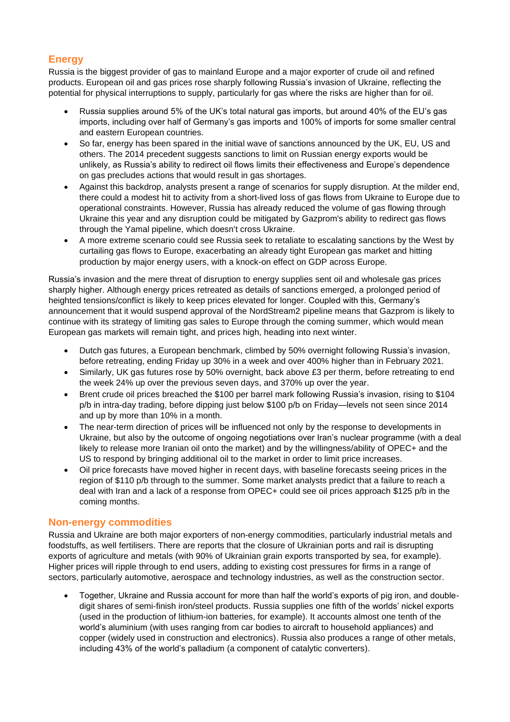### **Energy**

Russia is the biggest provider of gas to mainland Europe and a major exporter of crude oil and refined products. European oil and gas prices rose sharply following Russia's invasion of Ukraine, reflecting the potential for physical interruptions to supply, particularly for gas where the risks are higher than for oil.

- Russia supplies around 5% of the UK's total natural gas imports, but around 40% of the EU's gas imports, including over half of Germany's gas imports and 100% of imports for some smaller central and eastern European countries.
- So far, energy has been spared in the initial wave of sanctions announced by the UK, EU, US and others. The 2014 precedent suggests sanctions to limit on Russian energy exports would be unlikely, as Russia's ability to redirect oil flows limits their effectiveness and Europe's dependence on gas precludes actions that would result in gas shortages.
- Against this backdrop, analysts present a range of scenarios for supply disruption. At the milder end, there could a modest hit to activity from a short-lived loss of gas flows from Ukraine to Europe due to operational constraints. However, Russia has already reduced the volume of gas flowing through Ukraine this year and any disruption could be mitigated by Gazprom's ability to redirect gas flows through the Yamal pipeline, which doesn't cross Ukraine.
- A more extreme scenario could see Russia seek to retaliate to escalating sanctions by the West by curtailing gas flows to Europe, exacerbating an already tight European gas market and hitting production by major energy users, with a knock-on effect on GDP across Europe.

Russia's invasion and the mere threat of disruption to energy supplies sent oil and wholesale gas prices sharply higher. Although energy prices retreated as details of sanctions emerged, a prolonged period of heighted tensions/conflict is likely to keep prices elevated for longer. Coupled with this, Germany's announcement that it would suspend approval of the NordStream2 pipeline means that Gazprom is likely to continue with its strategy of limiting gas sales to Europe through the coming summer, which would mean European gas markets will remain tight, and prices high, heading into next winter.

- Dutch gas futures, a European benchmark, climbed by 50% overnight following Russia's invasion, before retreating, ending Friday up 30% in a week and over 400% higher than in February 2021.
- Similarly, UK gas futures rose by 50% overnight, back above £3 per therm, before retreating to end the week 24% up over the previous seven days, and 370% up over the year.
- Brent crude oil prices breached the \$100 per barrel mark following Russia's invasion, rising to \$104 p/b in intra-day trading, before dipping just below \$100 p/b on Friday—levels not seen since 2014 and up by more than 10% in a month.
- The near-term direction of prices will be influenced not only by the response to developments in Ukraine, but also by the outcome of ongoing negotiations over Iran's nuclear programme (with a deal likely to release more Iranian oil onto the market) and by the willingness/ability of OPEC+ and the US to respond by bringing additional oil to the market in order to limit price increases.
- Oil price forecasts have moved higher in recent days, with baseline forecasts seeing prices in the region of \$110 p/b through to the summer. Some market analysts predict that a failure to reach a deal with Iran and a lack of a response from OPEC+ could see oil prices approach \$125 p/b in the coming months.

#### **Non-energy commodities**

Russia and Ukraine are both major exporters of non-energy commodities, particularly industrial metals and foodstuffs, as well fertilisers. There are reports that the closure of Ukrainian ports and rail is disrupting exports of agriculture and metals (with 90% of Ukrainian grain exports transported by sea, for example). Higher prices will ripple through to end users, adding to existing cost pressures for firms in a range of sectors, particularly automotive, aerospace and technology industries, as well as the construction sector.

• Together, Ukraine and Russia account for more than half the world's exports of pig iron, and doubledigit shares of semi-finish iron/steel products. Russia supplies one fifth of the worlds' nickel exports (used in the production of lithium-ion batteries, for example). It accounts almost one tenth of the world's aluminium (with uses ranging from car bodies to aircraft to household appliances) and copper (widely used in construction and electronics). Russia also produces a range of other metals, including 43% of the world's palladium (a component of catalytic converters).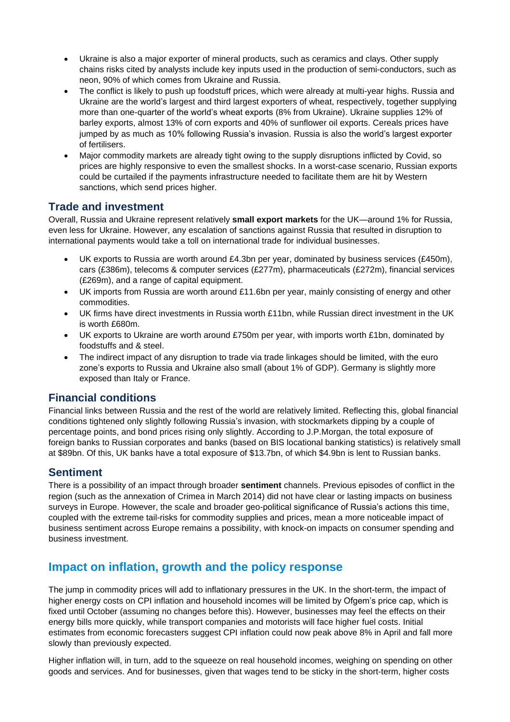- Ukraine is also a major exporter of mineral products, such as ceramics and clays. Other supply chains risks cited by analysts include key inputs used in the production of semi-conductors, such as neon, 90% of which comes from Ukraine and Russia.
- The conflict is likely to push up foodstuff prices, which were already at multi-year highs. Russia and Ukraine are the world's largest and third largest exporters of wheat, respectively, together supplying more than one-quarter of the world's wheat exports (8% from Ukraine). Ukraine supplies 12% of barley exports, almost 13% of corn exports and 40% of sunflower oil exports. Cereals prices have jumped by as much as 10% following Russia's invasion. Russia is also the world's largest exporter of fertilisers.
- Major commodity markets are already tight owing to the supply disruptions inflicted by Covid, so prices are highly responsive to even the smallest shocks. In a worst-case scenario, Russian exports could be curtailed if the payments infrastructure needed to facilitate them are hit by Western sanctions, which send prices higher.

## **Trade and investment**

Overall, Russia and Ukraine represent relatively **small export markets** for the UK—around 1% for Russia, even less for Ukraine. However, any escalation of sanctions against Russia that resulted in disruption to international payments would take a toll on international trade for individual businesses.

- UK exports to Russia are worth around  $£4.3$ bn per year, dominated by business services (£450m), cars (£386m), telecoms & computer services (£277m), pharmaceuticals (£272m), financial services (£269m), and a range of capital equipment.
- UK imports from Russia are worth around £11.6bn per year, mainly consisting of energy and other commodities.
- UK firms have direct investments in Russia worth £11bn, while Russian direct investment in the UK is worth £680m.
- UK exports to Ukraine are worth around £750m per year, with imports worth £1bn, dominated by foodstuffs and & steel.
- The indirect impact of any disruption to trade via trade linkages should be limited, with the euro zone's exports to Russia and Ukraine also small (about 1% of GDP). Germany is slightly more exposed than Italy or France.

## **Financial conditions**

Financial links between Russia and the rest of the world are relatively limited. Reflecting this, global financial conditions tightened only slightly following Russia's invasion, with stockmarkets dipping by a couple of percentage points, and bond prices rising only slightly. According to J.P.Morgan, the total exposure of foreign banks to Russian corporates and banks (based on BIS locational banking statistics) is relatively small at \$89bn. Of this, UK banks have a total exposure of \$13.7bn, of which \$4.9bn is lent to Russian banks.

## **Sentiment**

There is a possibility of an impact through broader **sentiment** channels. Previous episodes of conflict in the region (such as the annexation of Crimea in March 2014) did not have clear or lasting impacts on business surveys in Europe. However, the scale and broader geo-political significance of Russia's actions this time, coupled with the extreme tail-risks for commodity supplies and prices, mean a more noticeable impact of business sentiment across Europe remains a possibility, with knock-on impacts on consumer spending and business investment.

# **Impact on inflation, growth and the policy response**

The jump in commodity prices will add to inflationary pressures in the UK. In the short-term, the impact of higher energy costs on CPI inflation and household incomes will be limited by Ofgem's price cap, which is fixed until October (assuming no changes before this). However, businesses may feel the effects on their energy bills more quickly, while transport companies and motorists will face higher fuel costs. Initial estimates from economic forecasters suggest CPI inflation could now peak above 8% in April and fall more slowly than previously expected.

Higher inflation will, in turn, add to the squeeze on real household incomes, weighing on spending on other goods and services. And for businesses, given that wages tend to be sticky in the short-term, higher costs